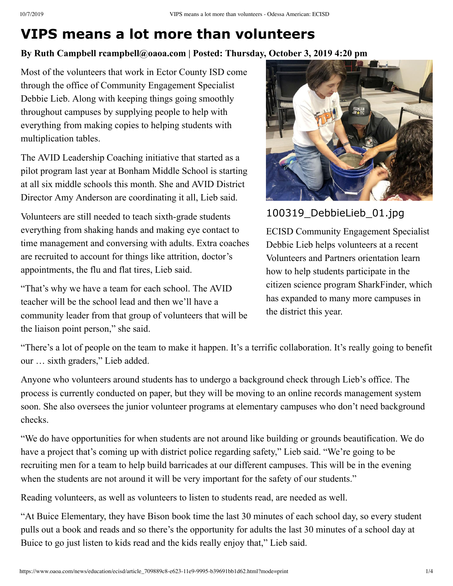## **VIPS means a lot more than volunteers**

## **By Ruth Campbell rcampbell@oaoa.com | Posted: Thursday, October 3, 2019 4:20 pm**

Most of the volunteers that work in Ector County ISD come through the office of Community Engagement Specialist Debbie Lieb. Along with keeping things going smoothly throughout campuses by supplying people to help with everything from making copies to helping students with multiplication tables.

The AVID Leadership Coaching initiative that started as a pilot program last year at Bonham Middle School is starting at all six middle schools this month. She and AVID District Director Amy Anderson are coordinating it all, Lieb said.

Volunteers are still needed to teach sixth-grade students everything from shaking hands and making eye contact to time management and conversing with adults. Extra coaches are recruited to account for things like attrition, doctor's appointments, the flu and flat tires, Lieb said.

"That's why we have a team for each school. The AVID teacher will be the school lead and then we'll have a community leader from that group of volunteers that will be the liaison point person," she said.



100319\_DebbieLieb\_01.jpg

ECISD Community Engagement Specialist Debbie Lieb helps volunteers at a recent Volunteers and Partners orientation learn how to help students participate in the citizen science program SharkFinder, which has expanded to many more campuses in the district this year.

"There's a lot of people on the team to make it happen. It's a terrific collaboration. It's really going to benefit our … sixth graders," Lieb added.

Anyone who volunteers around students has to undergo a background check through Lieb's office. The process is currently conducted on paper, but they will be moving to an online records management system soon. She also oversees the junior volunteer programs at elementary campuses who don't need background checks.

"We do have opportunities for when students are not around like building or grounds beautification. We do have a project that's coming up with district police regarding safety," Lieb said. "We're going to be recruiting men for a team to help build barricades at our different campuses. This will be in the evening when the students are not around it will be very important for the safety of our students."

Reading volunteers, as well as volunteers to listen to students read, are needed as well.

"At Buice Elementary, they have Bison book time the last 30 minutes of each school day, so every student pulls out a book and reads and so there's the opportunity for adults the last 30 minutes of a school day at Buice to go just listen to kids read and the kids really enjoy that," Lieb said.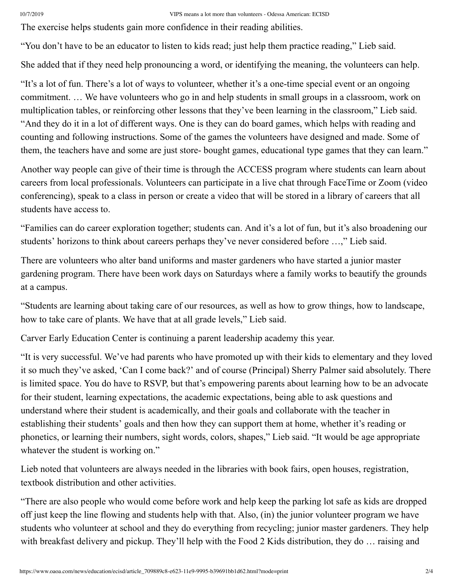The exercise helps students gain more confidence in their reading abilities.

"You don't have to be an educator to listen to kids read; just help them practice reading," Lieb said.

She added that if they need help pronouncing a word, or identifying the meaning, the volunteers can help.

"It's a lot of fun. There's a lot of ways to volunteer, whether it's a one-time special event or an ongoing commitment. … We have volunteers who go in and help students in small groups in a classroom, work on multiplication tables, or reinforcing other lessons that they've been learning in the classroom," Lieb said. "And they do it in a lot of different ways. One is they can do board games, which helps with reading and counting and following instructions. Some of the games the volunteers have designed and made. Some of them, the teachers have and some are just store- bought games, educational type games that they can learn."

Another way people can give of their time is through the ACCESS program where students can learn about careers from local professionals. Volunteers can participate in a live chat through FaceTime or Zoom (video conferencing), speak to a class in person or create a video that will be stored in a library of careers that all students have access to.

"Families can do career exploration together; students can. And it's a lot of fun, but it's also broadening our students' horizons to think about careers perhaps they've never considered before …," Lieb said.

There are volunteers who alter band uniforms and master gardeners who have started a junior master gardening program. There have been work days on Saturdays where a family works to beautify the grounds at a campus.

"Students are learning about taking care of our resources, as well as how to grow things, how to landscape, how to take care of plants. We have that at all grade levels," Lieb said.

Carver Early Education Center is continuing a parent leadership academy this year.

"It is very successful. We've had parents who have promoted up with their kids to elementary and they loved it so much they've asked, 'Can I come back?' and of course (Principal) Sherry Palmer said absolutely. There is limited space. You do have to RSVP, but that's empowering parents about learning how to be an advocate for their student, learning expectations, the academic expectations, being able to ask questions and understand where their student is academically, and their goals and collaborate with the teacher in establishing their students' goals and then how they can support them at home, whether it's reading or phonetics, or learning their numbers, sight words, colors, shapes," Lieb said. "It would be age appropriate whatever the student is working on."

Lieb noted that volunteers are always needed in the libraries with book fairs, open houses, registration, textbook distribution and other activities.

"There are also people who would come before work and help keep the parking lot safe as kids are dropped off just keep the line flowing and students help with that. Also, (in) the junior volunteer program we have students who volunteer at school and they do everything from recycling; junior master gardeners. They help with breakfast delivery and pickup. They'll help with the Food 2 Kids distribution, they do ... raising and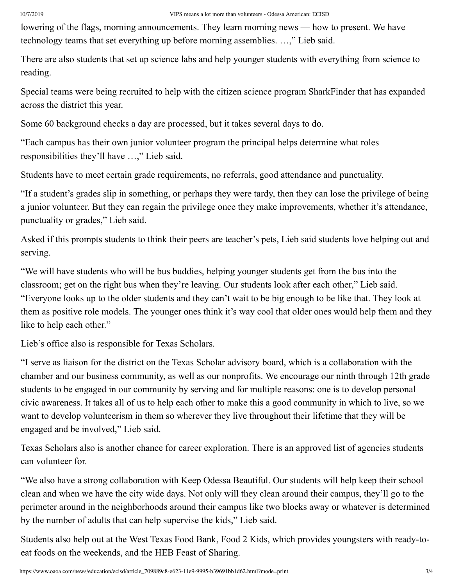lowering of the flags, morning announcements. They learn morning news — how to present. We have technology teams that set everything up before morning assemblies. …," Lieb said.

There are also students that set up science labs and help younger students with everything from science to reading.

Special teams were being recruited to help with the citizen science program SharkFinder that has expanded across the district this year.

Some 60 background checks a day are processed, but it takes several days to do.

"Each campus has their own junior volunteer program the principal helps determine what roles responsibilities they'll have …," Lieb said.

Students have to meet certain grade requirements, no referrals, good attendance and punctuality.

"If a student's grades slip in something, or perhaps they were tardy, then they can lose the privilege of being a junior volunteer. But they can regain the privilege once they make improvements, whether it's attendance, punctuality or grades," Lieb said.

Asked if this prompts students to think their peers are teacher's pets, Lieb said students love helping out and serving.

"We will have students who will be bus buddies, helping younger students get from the bus into the classroom; get on the right bus when they're leaving. Our students look after each other," Lieb said. "Everyone looks up to the older students and they can't wait to be big enough to be like that. They look at them as positive role models. The younger ones think it's way cool that older ones would help them and they like to help each other."

Lieb's office also is responsible for Texas Scholars.

"I serve as liaison for the district on the Texas Scholar advisory board, which is a collaboration with the chamber and our business community, as well as our nonprofits. We encourage our ninth through 12th grade students to be engaged in our community by serving and for multiple reasons: one is to develop personal civic awareness. It takes all of us to help each other to make this a good community in which to live, so we want to develop volunteerism in them so wherever they live throughout their lifetime that they will be engaged and be involved," Lieb said.

Texas Scholars also is another chance for career exploration. There is an approved list of agencies students can volunteer for.

"We also have a strong collaboration with Keep Odessa Beautiful. Our students will help keep their school clean and when we have the city wide days. Not only will they clean around their campus, they'll go to the perimeter around in the neighborhoods around their campus like two blocks away or whatever is determined by the number of adults that can help supervise the kids," Lieb said.

Students also help out at the West Texas Food Bank, Food 2 Kids, which provides youngsters with ready-toeat foods on the weekends, and the HEB Feast of Sharing.